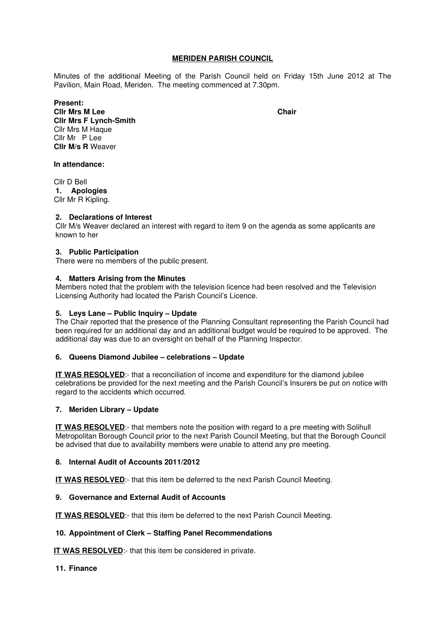## **MERIDEN PARISH COUNCIL**

Minutes of the additional Meeting of the Parish Council held on Friday 15th June 2012 at The Pavilion, Main Road, Meriden. The meeting commenced at 7.30pm.

**Present: Clir Mrs M Lee Chair Cllr Mrs F Lynch-Smith**  Cllr Mrs M Haque Cllr Mr P Lee **Cllr M/s R** Weaver

### **In attendance:**

Cllr D Bell **1. Apologies**  Cllr Mr R Kipling.

## **2. Declarations of Interest**

Cllr M/s Weaver declared an interest with regard to item 9 on the agenda as some applicants are known to her

## **3. Public Participation**

There were no members of the public present.

### **4. Matters Arising from the Minutes**

Members noted that the problem with the television licence had been resolved and the Television Licensing Authority had located the Parish Council's Licence.

# **5. Leys Lane – Public Inquiry – Update**

The Chair reported that the presence of the Planning Consultant representing the Parish Council had been required for an additional day and an additional budget would be required to be approved. The additional day was due to an oversight on behalf of the Planning Inspector.

### **6. Queens Diamond Jubilee – celebrations – Update**

**IT WAS RESOLVED**:- that a reconciliation of income and expenditure for the diamond jubilee celebrations be provided for the next meeting and the Parish Council's Insurers be put on notice with regard to the accidents which occurred.

# **7. Meriden Library – Update**

**IT WAS RESOLVED:**- that members note the position with regard to a pre meeting with Solihull Metropolitan Borough Council prior to the next Parish Council Meeting, but that the Borough Council be advised that due to availability members were unable to attend any pre meeting.

### **8. Internal Audit of Accounts 2011/2012**

**IT WAS RESOLVED:-** that this item be deferred to the next Parish Council Meeting.

### **9. Governance and External Audit of Accounts**

**IT WAS RESOLVED:-** that this item be deferred to the next Parish Council Meeting.

### **10. Appointment of Clerk – Staffing Panel Recommendations**

**IT WAS RESOLVED:**- that this item be considered in private.

### **11. Finance**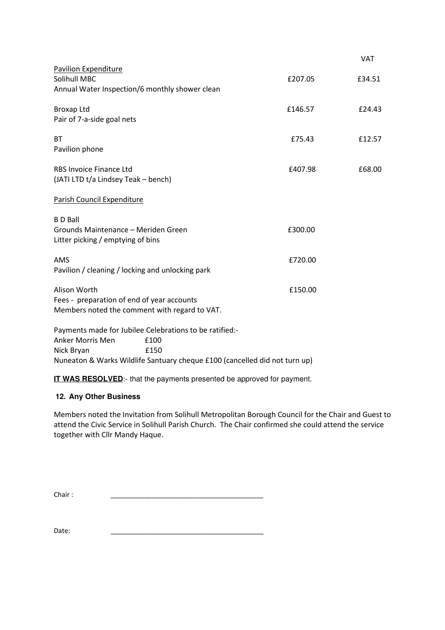|                                                                                                                                                                                                |         | <b>VAT</b> |
|------------------------------------------------------------------------------------------------------------------------------------------------------------------------------------------------|---------|------------|
| Pavilion Expenditure<br>Solihull MBC<br>Annual Water Inspection/6 monthly shower clean                                                                                                         | £207.05 | £34.51     |
| <b>Broxap Ltd</b><br>Pair of 7-a-side goal nets                                                                                                                                                | £146.57 | £24.43     |
| <b>BT</b><br>Pavilion phone                                                                                                                                                                    | £75.43  | £12.57     |
| <b>RBS Invoice Finance Ltd</b><br>(JATI LTD t/a Lindsey Teak - bench)                                                                                                                          | £407.98 | £68.00     |
| Parish Council Expenditure                                                                                                                                                                     |         |            |
| <b>BD</b> Ball<br>Grounds Maintenance - Meriden Green<br>Litter picking / emptying of bins                                                                                                     | £300.00 |            |
| AMS<br>Pavilion / cleaning / locking and unlocking park                                                                                                                                        | £720.00 |            |
| Alison Worth<br>Fees - preparation of end of year accounts<br>Members noted the comment with regard to VAT.                                                                                    | £150.00 |            |
| Payments made for Jubilee Celebrations to be ratified:-<br><b>Anker Morris Men</b><br>£100<br>Nick Bryan<br>£150<br>Nuneaton & Warks Wildlife Santuary cheque £100 (cancelled did not turn up) |         |            |

**IT WAS RESOLVED:**- that the payments presented be approved for payment.

# **12. Any Other Business**

Members noted the Invitation from Solihull Metropolitan Borough Council for the Chair and Guest to attend the Civic Service in Solihull Parish Church. The Chair confirmed she could attend the service together with Cllr Mandy Haque.

Chair : \_\_\_\_\_\_\_\_\_\_\_\_\_\_\_\_\_\_\_\_\_\_\_\_\_\_\_\_\_\_\_\_\_\_\_\_\_\_\_\_\_

Date: \_\_\_\_\_\_\_\_\_\_\_\_\_\_\_\_\_\_\_\_\_\_\_\_\_\_\_\_\_\_\_\_\_\_\_\_\_\_\_\_\_